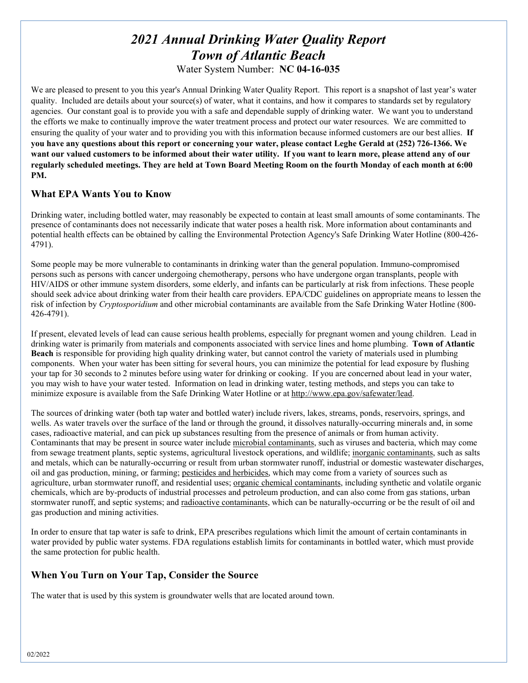# *2021 Annual Drinking Water Quality Report Town of Atlantic Beach*

Water System Number: **NC 04-16-035**

We are pleased to present to you this year's Annual Drinking Water Quality Report. This report is a snapshot of last year's water quality. Included are details about your source(s) of water, what it contains, and how it compares to standards set by regulatory agencies. Our constant goal is to provide you with a safe and dependable supply of drinking water. We want you to understand the efforts we make to continually improve the water treatment process and protect our water resources. We are committed to ensuring the quality of your water and to providing you with this information because informed customers are our best allies. **If you have any questions about this report or concerning your water, please contact Leghe Gerald at (252) 726-1366. We want our valued customers to be informed about their water utility. If you want to learn more, please attend any of our regularly scheduled meetings. They are held at Town Board Meeting Room on the fourth Monday of each month at 6:00 PM.** 

# **What EPA Wants You to Know**

Drinking water, including bottled water, may reasonably be expected to contain at least small amounts of some contaminants. The presence of contaminants does not necessarily indicate that water poses a health risk. More information about contaminants and potential health effects can be obtained by calling the Environmental Protection Agency's Safe Drinking Water Hotline (800-426- 4791).

Some people may be more vulnerable to contaminants in drinking water than the general population. Immuno-compromised persons such as persons with cancer undergoing chemotherapy, persons who have undergone organ transplants, people with HIV/AIDS or other immune system disorders, some elderly, and infants can be particularly at risk from infections. These people should seek advice about drinking water from their health care providers. EPA/CDC guidelines on appropriate means to lessen the risk of infection by *Cryptosporidium* and other microbial contaminants are available from the Safe Drinking Water Hotline (800- 426-4791).

If present, elevated levels of lead can cause serious health problems, especially for pregnant women and young children. Lead in drinking water is primarily from materials and components associated with service lines and home plumbing. **Town of Atlantic Beach** is responsible for providing high quality drinking water, but cannot control the variety of materials used in plumbing components. When your water has been sitting for several hours, you can minimize the potential for lead exposure by flushing your tap for 30 seconds to 2 minutes before using water for drinking or cooking. If you are concerned about lead in your water, you may wish to have your water tested. Information on lead in drinking water, testing methods, and steps you can take to minimize exposure is available from the Safe Drinking Water Hotline or at http://www.epa.gov/safewater/lead.

The sources of drinking water (both tap water and bottled water) include rivers, lakes, streams, ponds, reservoirs, springs, and wells. As water travels over the surface of the land or through the ground, it dissolves naturally-occurring minerals and, in some cases, radioactive material, and can pick up substances resulting from the presence of animals or from human activity. Contaminants that may be present in source water include microbial contaminants, such as viruses and bacteria, which may come from sewage treatment plants, septic systems, agricultural livestock operations, and wildlife; inorganic contaminants, such as salts and metals, which can be naturally-occurring or result from urban stormwater runoff, industrial or domestic wastewater discharges, oil and gas production, mining, or farming; pesticides and herbicides, which may come from a variety of sources such as agriculture, urban stormwater runoff, and residential uses; organic chemical contaminants, including synthetic and volatile organic chemicals, which are by-products of industrial processes and petroleum production, and can also come from gas stations, urban stormwater runoff, and septic systems; and radioactive contaminants, which can be naturally-occurring or be the result of oil and gas production and mining activities.

In order to ensure that tap water is safe to drink, EPA prescribes regulations which limit the amount of certain contaminants in water provided by public water systems. FDA regulations establish limits for contaminants in bottled water, which must provide the same protection for public health.

# **When You Turn on Your Tap, Consider the Source**

The water that is used by this system is groundwater wells that are located around town.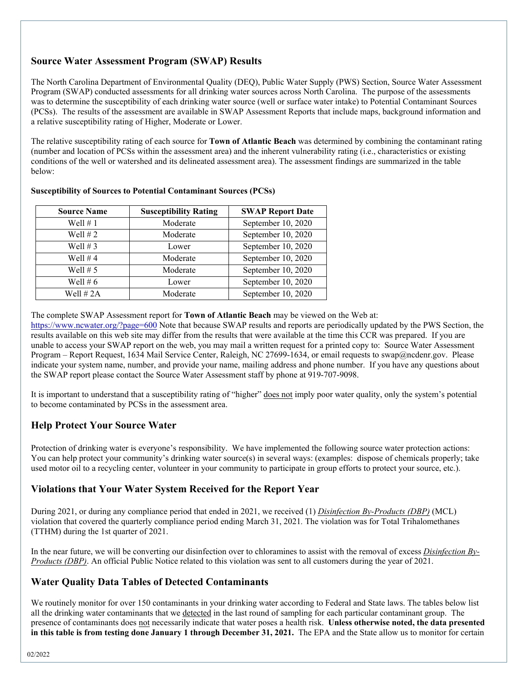# **Source Water Assessment Program (SWAP) Results**

The North Carolina Department of Environmental Quality (DEQ), Public Water Supply (PWS) Section, Source Water Assessment Program (SWAP) conducted assessments for all drinking water sources across North Carolina. The purpose of the assessments was to determine the susceptibility of each drinking water source (well or surface water intake) to Potential Contaminant Sources (PCSs). The results of the assessment are available in SWAP Assessment Reports that include maps, background information and a relative susceptibility rating of Higher, Moderate or Lower.

The relative susceptibility rating of each source for **Town of Atlantic Beach** was determined by combining the contaminant rating (number and location of PCSs within the assessment area) and the inherent vulnerability rating (i.e., characteristics or existing conditions of the well or watershed and its delineated assessment area). The assessment findings are summarized in the table below:

| <b>Source Name</b> | <b>Susceptibility Rating</b> | <b>SWAP Report Date</b> |
|--------------------|------------------------------|-------------------------|
| Well $# 1$         | Moderate                     | September 10, 2020      |
| Well $# 2$         | Moderate                     | September 10, 2020      |
| Well $# 3$         | Lower                        | September 10, 2020      |
| Well $# 4$         | Moderate                     | September 10, 2020      |
| Well $# 5$         | Moderate                     | September 10, 2020      |
| Well $# 6$         | Lower                        | September 10, 2020      |
| Well $# 2A$        | Moderate                     | September 10, 2020      |

#### **Susceptibility of Sources to Potential Contaminant Sources (PCSs)**

The complete SWAP Assessment report for **Town of Atlantic Beach** may be viewed on the Web at:

https://www.ncwater.org/?page=600 Note that because SWAP results and reports are periodically updated by the PWS Section, the results available on this web site may differ from the results that were available at the time this CCR was prepared. If you are unable to access your SWAP report on the web, you may mail a written request for a printed copy to: Source Water Assessment Program – Report Request, 1634 Mail Service Center, Raleigh, NC 27699-1634, or email requests to swap@ncdenr.gov. Please indicate your system name, number, and provide your name, mailing address and phone number. If you have any questions about the SWAP report please contact the Source Water Assessment staff by phone at 919-707-9098.

It is important to understand that a susceptibility rating of "higher" does not imply poor water quality, only the system's potential to become contaminated by PCSs in the assessment area.

# **Help Protect Your Source Water**

Protection of drinking water is everyone's responsibility. We have implemented the following source water protection actions: You can help protect your community's drinking water source(s) in several ways: (examples: dispose of chemicals properly; take used motor oil to a recycling center, volunteer in your community to participate in group efforts to protect your source, etc.).

# **Violations that Your Water System Received for the Report Year**

During 2021, or during any compliance period that ended in 2021, we received (1) *Disinfection By-Products (DBP)* (MCL) violation that covered the quarterly compliance period ending March 31, 2021*.* The violation was for Total Trihalomethanes (TTHM) during the 1st quarter of 2021.

In the near future, we will be converting our disinfection over to chloramines to assist with the removal of excess *Disinfection By-Products (DBP)*. An official Public Notice related to this violation was sent to all customers during the year of 2021.

# **Water Quality Data Tables of Detected Contaminants**

We routinely monitor for over 150 contaminants in your drinking water according to Federal and State laws. The tables below list all the drinking water contaminants that we detected in the last round of sampling for each particular contaminant group. The presence of contaminants does not necessarily indicate that water poses a health risk. **Unless otherwise noted, the data presented in this table is from testing done January 1 through December 31, 2021.** The EPA and the State allow us to monitor for certain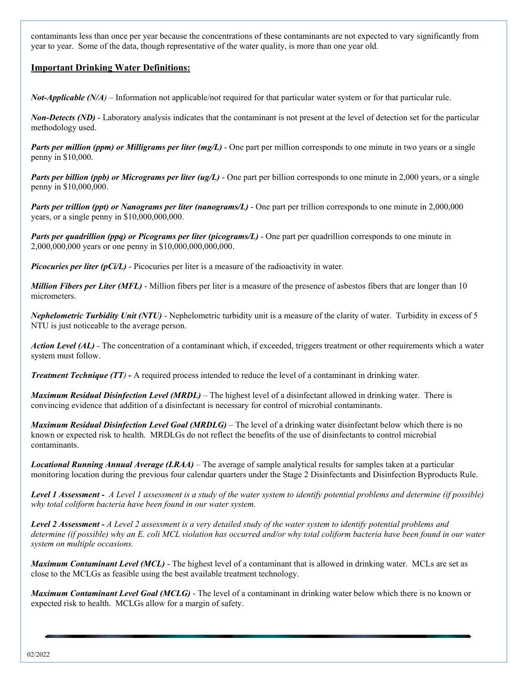contaminants less than once per year because the concentrations of these contaminants are not expected to vary significantly from year to year. Some of the data, though representative of the water quality, is more than one year old.

## **Important Drinking Water Definitions:**

*Not-Applicable (N/A)* – Information not applicable/not required for that particular water system or for that particular rule.

*Non-Detects (ND)* - Laboratory analysis indicates that the contaminant is not present at the level of detection set for the particular methodology used.

*Parts per million (ppm) or Milligrams per liter (mg/L)* - One part per million corresponds to one minute in two years or a single penny in \$10,000.

*Parts per billion (ppb) or Micrograms per liter (ug/L)* - One part per billion corresponds to one minute in 2,000 years, or a single penny in \$10,000,000.

*Parts per trillion (ppt) or Nanograms per liter (nanograms/L)* - One part per trillion corresponds to one minute in 2,000,000 years, or a single penny in \$10,000,000,000.

*Parts per quadrillion (ppq) or Picograms per liter (picograms/L)* - One part per quadrillion corresponds to one minute in 2,000,000,000 years or one penny in \$10,000,000,000,000.

*Picocuries per liter (pCi/L)* - Picocuries per liter is a measure of the radioactivity in water.

*Million Fibers per Liter (MFL)* - Million fibers per liter is a measure of the presence of asbestos fibers that are longer than 10 micrometers.

*Nephelometric Turbidity Unit (NTU)* - Nephelometric turbidity unit is a measure of the clarity of water. Turbidity in excess of 5 NTU is just noticeable to the average person.

*Action Level (AL) -* The concentration of a contaminant which, if exceeded, triggers treatment or other requirements which a water system must follow.

*Treatment Technique (TT)* **-** A required process intended to reduce the level of a contaminant in drinking water.

*Maximum Residual Disinfection Level (MRDL)* – The highest level of a disinfectant allowed in drinking water. There is convincing evidence that addition of a disinfectant is necessary for control of microbial contaminants.

*Maximum Residual Disinfection Level Goal (MRDLG)* – The level of a drinking water disinfectant below which there is no known or expected risk to health. MRDLGs do not reflect the benefits of the use of disinfectants to control microbial contaminants.

*Locational Running Annual Average (LRAA)* – The average of sample analytical results for samples taken at a particular monitoring location during the previous four calendar quarters under the Stage 2 Disinfectants and Disinfection Byproducts Rule.

*Level 1 Assessment - A Level 1 assessment is a study of the water system to identify potential problems and determine (if possible) why total coliform bacteria have been found in our water system.* 

*Level 2 Assessment - A Level 2 assessment is a very detailed study of the water system to identify potential problems and determine (if possible) why an E. coli MCL violation has occurred and/or why total coliform bacteria have been found in our water system on multiple occasions.* 

*Maximum Contaminant Level (MCL)* - The highest level of a contaminant that is allowed in drinking water. MCLs are set as close to the MCLGs as feasible using the best available treatment technology.

*Maximum Contaminant Level Goal (MCLG)* - The level of a contaminant in drinking water below which there is no known or expected risk to health. MCLGs allow for a margin of safety.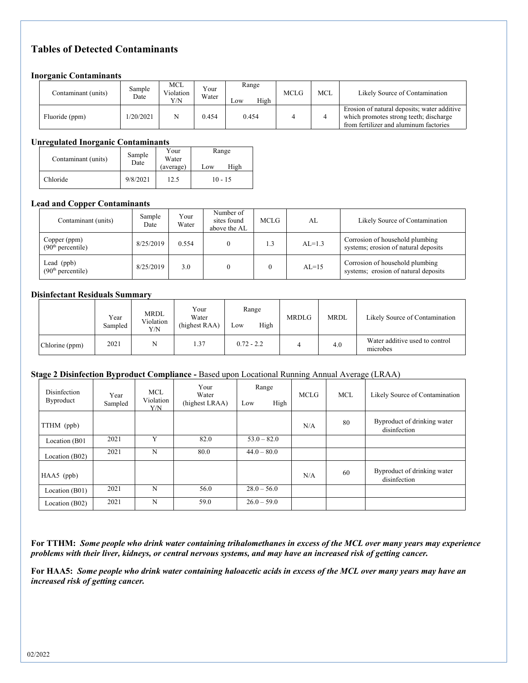# **Tables of Detected Contaminants**

## **Inorganic Contaminants**

| Contaminant (units) | Sample<br>Date | MCL<br>Violation<br>Y/N | $V_{\text{Our}}$<br>Water | Range<br>High<br>Low | <b>MCLG</b> | <b>MCL</b> | Likely Source of Contamination                                                                                                  |
|---------------------|----------------|-------------------------|---------------------------|----------------------|-------------|------------|---------------------------------------------------------------------------------------------------------------------------------|
| Fluoride (ppm)      | 1/20/2021      | N                       | 0.454                     | 0.454                |             |            | Erosion of natural deposits; water additive<br>which promotes strong teeth; discharge<br>from fertilizer and aluminum factories |

### **Unregulated Inorganic Contaminants**

| Contaminant (units) | Sample<br>Date | Your<br>Water<br>(average) | Range<br>High<br>Low |
|---------------------|----------------|----------------------------|----------------------|
| Chloride            | 9/8/2021       | 12.5                       | $10 - 15$            |

## **Lead and Copper Contaminants**

| Contaminant (units)                           | Sample<br>Date | Your<br>Water | Number of<br>sites found<br>above the AL | MCLG. | AL       | Likely Source of Contamination                                          |
|-----------------------------------------------|----------------|---------------|------------------------------------------|-------|----------|-------------------------------------------------------------------------|
| Copper (ppm)<br>(90 <sup>th</sup> percentile) | 8/25/2019      | 0.554         |                                          | 1.3   | $AL=1.3$ | Corrosion of household plumbing<br>systems; erosion of natural deposits |
| Lead (ppb)<br>(90 <sup>th</sup> percentile)   | 8/25/2019      | 3.0           |                                          |       | $AL=15$  | Corrosion of household plumbing<br>systems; erosion of natural deposits |

## **Disinfectant Residuals Summary**

|                | Year<br>Sampled | MRDL<br>Violation<br>Y/N | Your<br>Water<br>(highest RAA) | Range<br>High<br>Low | <b>MRDLG</b> | <b>MRDL</b> | Likely Source of Contamination             |
|----------------|-----------------|--------------------------|--------------------------------|----------------------|--------------|-------------|--------------------------------------------|
| Chlorine (ppm) | 2021            |                          | 1.37                           | $0.72 - 2.2$         |              | 4.0         | Water additive used to control<br>microbes |

#### **Stage 2 Disinfection Byproduct Compliance -** Based upon Locational Running Annual Average (LRAA)

| Disinfection<br>Byproduct | Year<br>Sampled | MCL<br>Violation<br>Y/N | Your<br>Water<br>(highest LRAA) | Range<br>High<br>Low | <b>MCLG</b> | <b>MCL</b> | Likely Source of Contamination              |
|---------------------------|-----------------|-------------------------|---------------------------------|----------------------|-------------|------------|---------------------------------------------|
| TTHM (ppb)                |                 |                         |                                 |                      | N/A         | 80         | Byproduct of drinking water<br>disinfection |
| Location (B01             | 2021            | Y                       | 82.0                            | $53.0 - 82.0$        |             |            |                                             |
| Location (B02)            | 2021            | N                       | 80.0                            | $44.0 - 80.0$        |             |            |                                             |
| $HAA5$ (ppb)              |                 |                         |                                 |                      | N/A         | 60         | Byproduct of drinking water<br>disinfection |
| Location (B01)            | 2021            | N                       | 56.0                            | $28.0 - 56.0$        |             |            |                                             |
| Location (B02)            | 2021            | N                       | 59.0                            | $26.0 - 59.0$        |             |            |                                             |

**For TTHM:** *Some people who drink water containing trihalomethanes in excess of the MCL over many years may experience problems with their liver, kidneys, or central nervous systems, and may have an increased risk of getting cancer.* 

**For HAA5:** *Some people who drink water containing haloacetic acids in excess of the MCL over many years may have an increased risk of getting cancer.*